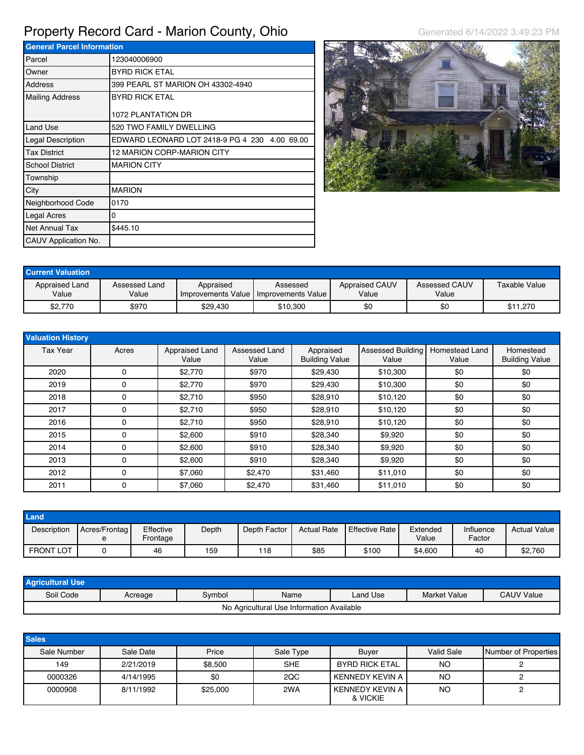## Property Record Card - Marion County, Ohio Generated 6/14/2022 3:49:23 PM

**General Parcel Information** Parcel 123040006900 Owner BYRD RICK ETAL Address 399 PEARL ST MARION OH 43302-4940 Mailing Address BYRD RICK ETAL 1072 PLANTATION DR Land Use 520 TWO FAMILY DWELLING Legal Description EDWARD LEONARD LOT 2418-9 PG 4 230 4.00 69.00 Tax District 12 MARION CORP-MARION CITY School District MARION CITY Township City **MARION** Neighborhood Code 0170 Legal Acres 0 Net Annual Tax \$445.10 CAUV Application No.



| <b>Current Valuation</b> |                        |           |                                                         |                                |                        |               |
|--------------------------|------------------------|-----------|---------------------------------------------------------|--------------------------------|------------------------|---------------|
| Appraised Land<br>Value  | Assessed Land<br>Value | Appraised | Assessed<br>I Improvements Value I Improvements Value I | <b>Appraised CAUV</b><br>Value | Assessed CAUV<br>Value | Taxable Value |
| \$2,770                  | \$970                  | \$29.430  | \$10,300                                                | \$0                            | \$0                    | \$11,270      |

| <b>Valuation History</b> |       |                         |                        |                                    |                            |                         |                                    |
|--------------------------|-------|-------------------------|------------------------|------------------------------------|----------------------------|-------------------------|------------------------------------|
| <b>Tax Year</b>          | Acres | Appraised Land<br>Value | Assessed Land<br>Value | Appraised<br><b>Building Value</b> | Assessed Building<br>Value | Homestead Land<br>Value | Homestead<br><b>Building Value</b> |
| 2020                     | 0     | \$2,770                 | \$970                  | \$29,430                           | \$10,300                   | \$0                     | \$0                                |
| 2019                     | 0     | \$2.770                 | \$970                  | \$29,430                           | \$10,300                   | \$0                     | \$0                                |
| 2018                     | 0     | \$2,710                 | \$950                  | \$28,910                           | \$10,120                   | \$0                     | \$0                                |
| 2017                     | 0     | \$2,710                 | \$950                  | \$28,910                           | \$10,120                   | \$0                     | \$0                                |
| 2016                     | 0     | \$2,710                 | \$950                  | \$28,910                           | \$10,120                   | \$0                     | \$0                                |
| 2015                     | 0     | \$2,600                 | \$910                  | \$28,340                           | \$9,920                    | \$0                     | \$0                                |
| 2014                     | 0     | \$2.600                 | \$910                  | \$28,340                           | \$9,920                    | \$0                     | \$0                                |
| 2013                     | 0     | \$2,600                 | \$910                  | \$28,340                           | \$9,920                    | \$0                     | \$0                                |
| 2012                     | 0     | \$7,060                 | \$2,470                | \$31,460                           | \$11,010                   | \$0                     | \$0                                |
| 2011                     | 0     | \$7,060                 | \$2,470                | \$31,460                           | \$11,010                   | \$0                     | \$0                                |

| Land             |                    |                       |       |              |                    |                        |                   |                     |                     |
|------------------|--------------------|-----------------------|-------|--------------|--------------------|------------------------|-------------------|---------------------|---------------------|
| Description      | Acres/Frontag<br>е | Effective<br>Frontage | Depth | Depth Factor | <b>Actual Rate</b> | <b>LEffective Rate</b> | Extended<br>Value | Influence<br>Factor | <b>Actual Value</b> |
| <b>FRONT LOT</b> |                    | 46                    | 159   | 118          | \$85               | \$100                  | \$4,600           | 40                  | \$2,760             |

| <b>Agricultural Use</b> |         |        |                                           |          |              |                   |
|-------------------------|---------|--------|-------------------------------------------|----------|--------------|-------------------|
| Soil Code               | Acreage | Symbol | Name                                      | Land Use | Market Value | <b>CAUV Value</b> |
|                         |         |        | No Agricultural Use Information Available |          |              |                   |

| <b>Sales</b> |           |          |            |                             |                   |                      |
|--------------|-----------|----------|------------|-----------------------------|-------------------|----------------------|
| Sale Number  | Sale Date | Price    | Sale Type  | Buver                       | <b>Valid Sale</b> | Number of Properties |
| 149          | 2/21/2019 | \$8,500  | <b>SHE</b> | <b>BYRD RICK ETAL</b>       | <b>NO</b>         |                      |
| 0000326      | 4/14/1995 | \$0      | 2QC        | KENNEDY KEVIN A             | <b>NO</b>         |                      |
| 0000908      | 8/11/1992 | \$25,000 | 2WA        | KENNEDY KEVIN A<br>& VICKIE | NO                |                      |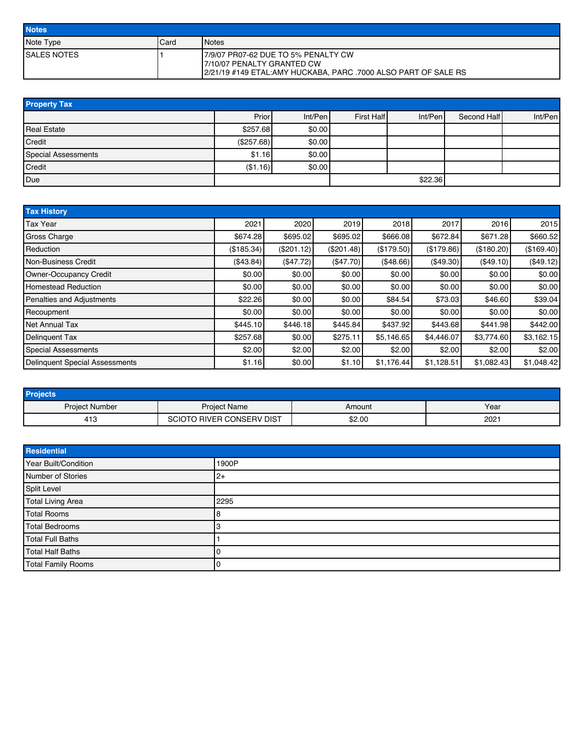| <b>Notes</b>        |      |                                                                                                                                       |
|---------------------|------|---------------------------------------------------------------------------------------------------------------------------------------|
| Note Type           | Card | <b>I</b> Notes                                                                                                                        |
| <b>ISALES NOTES</b> |      | 17/9/07 PR07-62 DUE TO 5% PENALTY CW<br>17/10/07 PENALTY GRANTED CW<br>2/21/19 #149 ETAL:AMY HUCKABA, PARC .7000 ALSO PART OF SALE RS |

| <b>Property Tax</b>        |            |         |            |         |             |         |  |  |  |
|----------------------------|------------|---------|------------|---------|-------------|---------|--|--|--|
|                            | Prior      | Int/Pen | First Half | Int/Pen | Second Half | Int/Pen |  |  |  |
| <b>Real Estate</b>         | \$257.68   | \$0.00  |            |         |             |         |  |  |  |
| Credit                     | (\$257.68) | \$0.00  |            |         |             |         |  |  |  |
| <b>Special Assessments</b> | \$1.16     | \$0.00  |            |         |             |         |  |  |  |
| Credit                     | (\$1.16)   | \$0.00  |            |         |             |         |  |  |  |
| Due                        |            |         |            | \$22.36 |             |         |  |  |  |

| <b>Tax History</b>                    |            |            |            |            |            |            |            |
|---------------------------------------|------------|------------|------------|------------|------------|------------|------------|
| <b>Tax Year</b>                       | 2021       | 2020       | 2019       | 2018       | 2017       | 2016       | 2015       |
| <b>Gross Charge</b>                   | \$674.28   | \$695.02   | \$695.02   | \$666.08   | \$672.84   | \$671.28   | \$660.52   |
| Reduction                             | (\$185.34) | (\$201.12) | (\$201.48) | (\$179.50) | (\$179.86) | (\$180.20) | (\$169.40) |
| Non-Business Credit                   | (\$43.84)  | (\$47.72)  | (\$47.70)  | (\$48.66)  | (\$49.30)  | (\$49.10)  | (\$49.12)  |
| Owner-Occupancy Credit                | \$0.00     | \$0.00     | \$0.00     | \$0.00     | \$0.00     | \$0.00     | \$0.00     |
| <b>Homestead Reduction</b>            | \$0.00     | \$0.00     | \$0.00     | \$0.00     | \$0.00     | \$0.00     | \$0.00     |
| <b>Penalties and Adjustments</b>      | \$22.26    | \$0.00     | \$0.00     | \$84.54    | \$73.03    | \$46.60    | \$39.04    |
| Recoupment                            | \$0.00     | \$0.00     | \$0.00     | \$0.00     | \$0.00     | \$0.00     | \$0.00     |
| <b>Net Annual Tax</b>                 | \$445.10   | \$446.18   | \$445.84   | \$437.92   | \$443.68   | \$441.98   | \$442.00   |
| <b>Delinquent Tax</b>                 | \$257.68   | \$0.00     | \$275.11   | \$5,146.65 | \$4,446.07 | \$3,774.60 | \$3,162.15 |
| <b>Special Assessments</b>            | \$2.00     | \$2.00     | \$2.00     | \$2.00     | \$2.00     | \$2.00     | \$2.00     |
| <b>Delinquent Special Assessments</b> | \$1.16     | \$0.00     | \$1.10     | \$1,176.44 | \$1,128.51 | \$1,082.43 | \$1,048.42 |

| <b>Projects</b>       |                                |        |      |
|-----------------------|--------------------------------|--------|------|
| <b>Project Number</b> | <b>Project Name</b>            | Amount | Year |
| 413                   | ) RIVER CONSERV DIST<br>SCIOTO | \$2.00 | 2021 |

| Residential               |       |
|---------------------------|-------|
| Year Built/Condition      | 1900P |
| Number of Stories         | $2+$  |
| Split Level               |       |
| <b>Total Living Area</b>  | 2295  |
| <b>Total Rooms</b>        |       |
| <b>Total Bedrooms</b>     |       |
| <b>Total Full Baths</b>   |       |
| <b>Total Half Baths</b>   |       |
| <b>Total Family Rooms</b> |       |